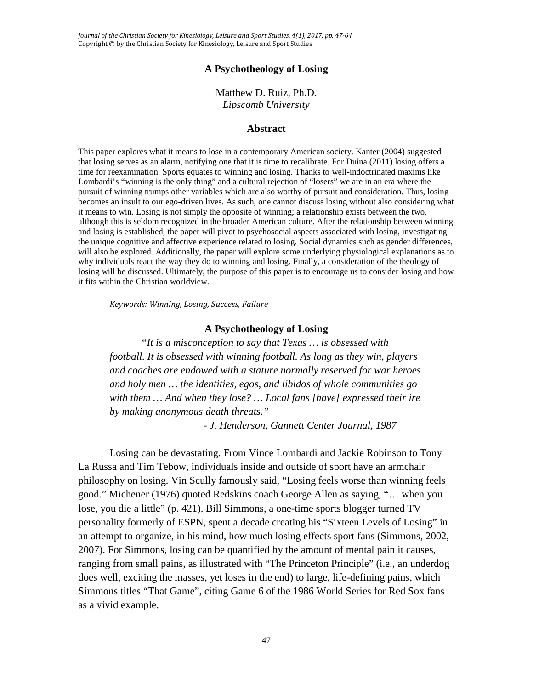*Journal of the Christian Society for Kinesiology, Leisure and Sport Studies, 4(1), 2017, pp. 47-64* Copyright © by the Christian Society for Kinesiology, Leisure and Sport Studies

# **A Psychotheology of Losing**

Matthew D. Ruiz, Ph.D. *Lipscomb University*

# **Abstract**

This paper explores what it means to lose in a contemporary American society. Kanter (2004) suggested that losing serves as an alarm, notifying one that it is time to recalibrate. For Duina (2011) losing offers a time for reexamination. Sports equates to winning and losing. Thanks to well-indoctrinated maxims like Lombardi's "winning is the only thing" and a cultural rejection of "losers" we are in an era where the pursuit of winning trumps other variables which are also worthy of pursuit and consideration. Thus, losing becomes an insult to our ego-driven lives. As such, one cannot discuss losing without also considering what it means to win. Losing is not simply the opposite of winning; a relationship exists between the two, although this is seldom recognized in the broader American culture. After the relationship between winning and losing is established, the paper will pivot to psychosocial aspects associated with losing, investigating the unique cognitive and affective experience related to losing. Social dynamics such as gender differences, will also be explored. Additionally, the paper will explore some underlying physiological explanations as to why individuals react the way they do to winning and losing. Finally, a consideration of the theology of losing will be discussed. Ultimately, the purpose of this paper is to encourage us to consider losing and how it fits within the Christian worldview.

*Keywords: Winning, Losing, Success, Failure*

#### **A Psychotheology of Losing**

*"It is a misconception to say that Texas … is obsessed with football. It is obsessed with winning football. As long as they win, players and coaches are endowed with a stature normally reserved for war heroes and holy men … the identities, egos, and libidos of whole communities go with them … And when they lose? … Local fans [have] expressed their ire by making anonymous death threats."*

*- J. Henderson, Gannett Center Journal, 1987*

Losing can be devastating. From Vince Lombardi and Jackie Robinson to Tony La Russa and Tim Tebow, individuals inside and outside of sport have an armchair philosophy on losing. Vin Scully famously said, "Losing feels worse than winning feels good." Michener (1976) quoted Redskins coach George Allen as saying, "… when you lose, you die a little" (p. 421). Bill Simmons, a one-time sports blogger turned TV personality formerly of ESPN, spent a decade creating his "Sixteen Levels of Losing" in an attempt to organize, in his mind, how much losing effects sport fans (Simmons, 2002, 2007). For Simmons, losing can be quantified by the amount of mental pain it causes, ranging from small pains, as illustrated with "The Princeton Principle" (i.e., an underdog does well, exciting the masses, yet loses in the end) to large, life-defining pains, which Simmons titles "That Game", citing Game 6 of the 1986 World Series for Red Sox fans as a vivid example.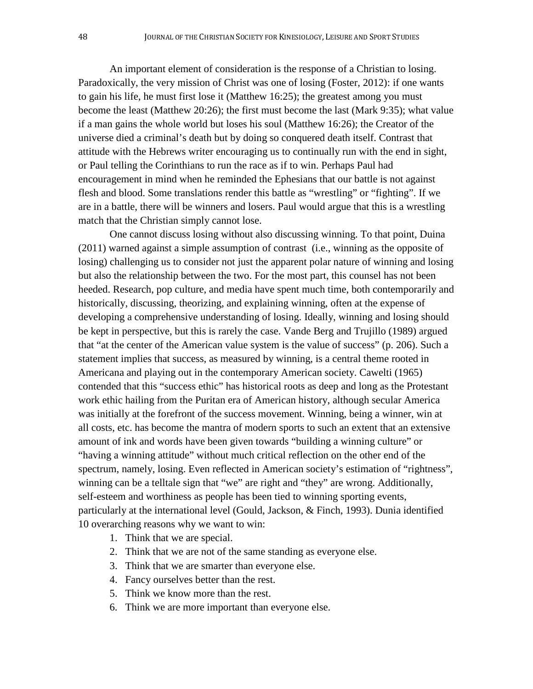An important element of consideration is the response of a Christian to losing. Paradoxically, the very mission of Christ was one of losing (Foster, 2012): if one wants to gain his life, he must first lose it (Matthew 16:25); the greatest among you must become the least (Matthew 20:26); the first must become the last (Mark 9:35); what value if a man gains the whole world but loses his soul (Matthew 16:26); the Creator of the universe died a criminal's death but by doing so conquered death itself. Contrast that attitude with the Hebrews writer encouraging us to continually run with the end in sight, or Paul telling the Corinthians to run the race as if to win. Perhaps Paul had encouragement in mind when he reminded the Ephesians that our battle is not against flesh and blood. Some translations render this battle as "wrestling" or "fighting". If we are in a battle, there will be winners and losers. Paul would argue that this is a wrestling match that the Christian simply cannot lose.

One cannot discuss losing without also discussing winning. To that point, Duina (2011) warned against a simple assumption of contrast (i.e., winning as the opposite of losing) challenging us to consider not just the apparent polar nature of winning and losing but also the relationship between the two. For the most part, this counsel has not been heeded. Research, pop culture, and media have spent much time, both contemporarily and historically, discussing, theorizing, and explaining winning, often at the expense of developing a comprehensive understanding of losing. Ideally, winning and losing should be kept in perspective, but this is rarely the case. Vande Berg and Trujillo (1989) argued that "at the center of the American value system is the value of success" (p. 206). Such a statement implies that success, as measured by winning, is a central theme rooted in Americana and playing out in the contemporary American society. Cawelti (1965) contended that this "success ethic" has historical roots as deep and long as the Protestant work ethic hailing from the Puritan era of American history, although secular America was initially at the forefront of the success movement. Winning, being a winner, win at all costs, etc. has become the mantra of modern sports to such an extent that an extensive amount of ink and words have been given towards "building a winning culture" or "having a winning attitude" without much critical reflection on the other end of the spectrum, namely, losing. Even reflected in American society's estimation of "rightness", winning can be a telltale sign that "we" are right and "they" are wrong. Additionally, self-esteem and worthiness as people has been tied to winning sporting events, particularly at the international level (Gould, Jackson, & Finch, 1993). Dunia identified 10 overarching reasons why we want to win:

- 1. Think that we are special.
- 2. Think that we are not of the same standing as everyone else.
- 3. Think that we are smarter than everyone else.
- 4. Fancy ourselves better than the rest.
- 5. Think we know more than the rest.
- 6. Think we are more important than everyone else.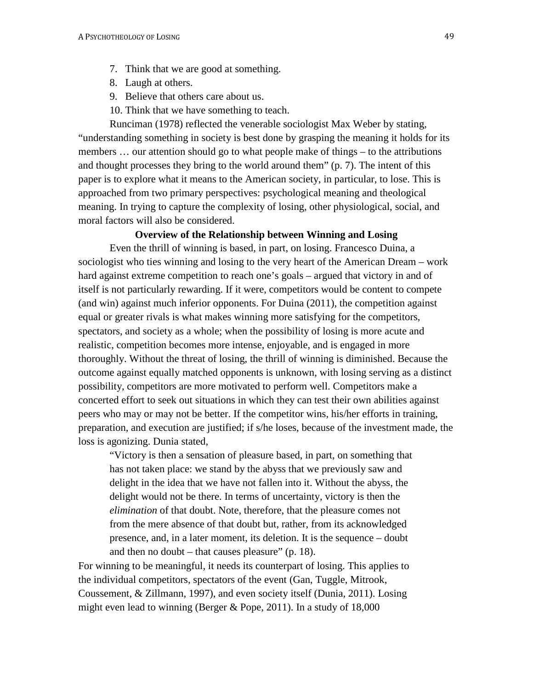- 7. Think that we are good at something.
- 8. Laugh at others.
- 9. Believe that others care about us.
- 10. Think that we have something to teach.

Runciman (1978) reflected the venerable sociologist Max Weber by stating, "understanding something in society is best done by grasping the meaning it holds for its members … our attention should go to what people make of things – to the attributions and thought processes they bring to the world around them" (p. 7). The intent of this paper is to explore what it means to the American society, in particular, to lose. This is approached from two primary perspectives: psychological meaning and theological meaning. In trying to capture the complexity of losing, other physiological, social, and moral factors will also be considered.

# **Overview of the Relationship between Winning and Losing**

Even the thrill of winning is based, in part, on losing. Francesco Duina, a sociologist who ties winning and losing to the very heart of the American Dream – work hard against extreme competition to reach one's goals – argued that victory in and of itself is not particularly rewarding. If it were, competitors would be content to compete (and win) against much inferior opponents. For Duina (2011), the competition against equal or greater rivals is what makes winning more satisfying for the competitors, spectators, and society as a whole; when the possibility of losing is more acute and realistic, competition becomes more intense, enjoyable, and is engaged in more thoroughly. Without the threat of losing, the thrill of winning is diminished. Because the outcome against equally matched opponents is unknown, with losing serving as a distinct possibility, competitors are more motivated to perform well. Competitors make a concerted effort to seek out situations in which they can test their own abilities against peers who may or may not be better. If the competitor wins, his/her efforts in training, preparation, and execution are justified; if s/he loses, because of the investment made, the loss is agonizing. Dunia stated,

"Victory is then a sensation of pleasure based, in part, on something that has not taken place: we stand by the abyss that we previously saw and delight in the idea that we have not fallen into it. Without the abyss, the delight would not be there. In terms of uncertainty, victory is then the *elimination* of that doubt. Note, therefore, that the pleasure comes not from the mere absence of that doubt but, rather, from its acknowledged presence, and, in a later moment, its deletion. It is the sequence – doubt and then no doubt – that causes pleasure"  $(p. 18)$ .

For winning to be meaningful, it needs its counterpart of losing. This applies to the individual competitors, spectators of the event (Gan, Tuggle, Mitrook, Coussement, & Zillmann, 1997), and even society itself (Dunia, 2011). Losing might even lead to winning (Berger & Pope, 2011). In a study of 18,000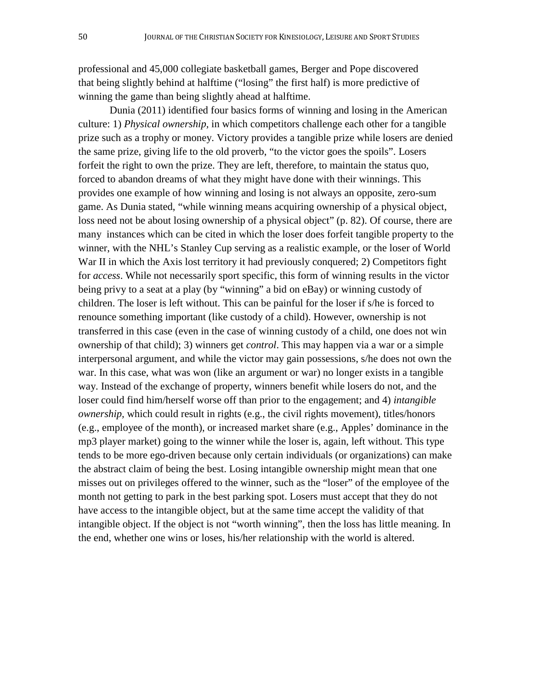professional and 45,000 collegiate basketball games, Berger and Pope discovered that being slightly behind at halftime ("losing" the first half) is more predictive of winning the game than being slightly ahead at halftime.

Dunia (2011) identified four basics forms of winning and losing in the American culture: 1) *Physical ownership,* in which competitors challenge each other for a tangible prize such as a trophy or money. Victory provides a tangible prize while losers are denied the same prize, giving life to the old proverb, "to the victor goes the spoils". Losers forfeit the right to own the prize. They are left, therefore, to maintain the status quo, forced to abandon dreams of what they might have done with their winnings. This provides one example of how winning and losing is not always an opposite, zero-sum game. As Dunia stated, "while winning means acquiring ownership of a physical object, loss need not be about losing ownership of a physical object" (p. 82). Of course, there are many instances which can be cited in which the loser does forfeit tangible property to the winner, with the NHL's Stanley Cup serving as a realistic example, or the loser of World War II in which the Axis lost territory it had previously conquered; 2) Competitors fight for *access*. While not necessarily sport specific, this form of winning results in the victor being privy to a seat at a play (by "winning" a bid on eBay) or winning custody of children. The loser is left without. This can be painful for the loser if s/he is forced to renounce something important (like custody of a child). However, ownership is not transferred in this case (even in the case of winning custody of a child, one does not win ownership of that child); 3) winners get *control*. This may happen via a war or a simple interpersonal argument, and while the victor may gain possessions, s/he does not own the war. In this case, what was won (like an argument or war) no longer exists in a tangible way. Instead of the exchange of property, winners benefit while losers do not, and the loser could find him/herself worse off than prior to the engagement; and 4) *intangible ownership,* which could result in rights (e.g., the civil rights movement), titles/honors (e.g., employee of the month), or increased market share (e.g., Apples' dominance in the mp3 player market) going to the winner while the loser is, again, left without. This type tends to be more ego-driven because only certain individuals (or organizations) can make the abstract claim of being the best. Losing intangible ownership might mean that one misses out on privileges offered to the winner, such as the "loser" of the employee of the month not getting to park in the best parking spot. Losers must accept that they do not have access to the intangible object, but at the same time accept the validity of that intangible object. If the object is not "worth winning", then the loss has little meaning. In the end, whether one wins or loses, his/her relationship with the world is altered.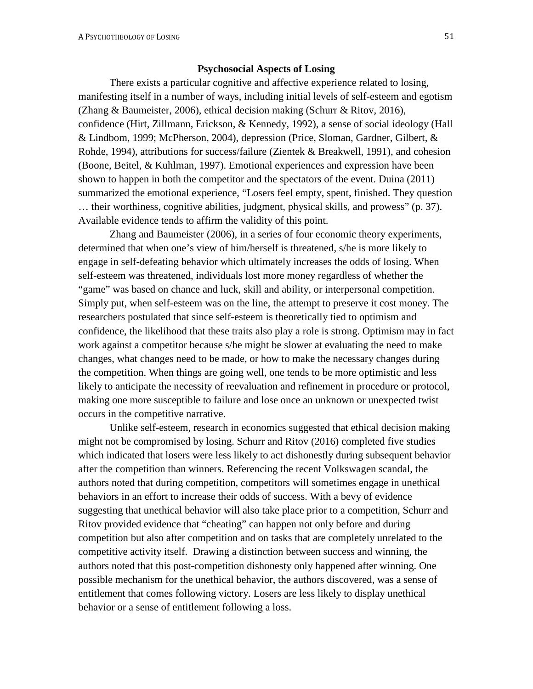# **Psychosocial Aspects of Losing**

There exists a particular cognitive and affective experience related to losing, manifesting itself in a number of ways, including initial levels of self-esteem and egotism (Zhang & Baumeister, 2006), ethical decision making (Schurr & Ritov, 2016), confidence (Hirt, Zillmann, Erickson, & Kennedy, 1992), a sense of social ideology (Hall & Lindbom, 1999; McPherson, 2004), depression (Price, Sloman, Gardner, Gilbert, & Rohde, 1994), attributions for success/failure (Zientek & Breakwell, 1991), and cohesion (Boone, Beitel, & Kuhlman, 1997). Emotional experiences and expression have been shown to happen in both the competitor and the spectators of the event. Duina (2011) summarized the emotional experience, "Losers feel empty, spent, finished. They question … their worthiness, cognitive abilities, judgment, physical skills, and prowess" (p. 37). Available evidence tends to affirm the validity of this point.

Zhang and Baumeister (2006), in a series of four economic theory experiments, determined that when one's view of him/herself is threatened, s/he is more likely to engage in self-defeating behavior which ultimately increases the odds of losing. When self-esteem was threatened, individuals lost more money regardless of whether the "game" was based on chance and luck, skill and ability, or interpersonal competition. Simply put, when self-esteem was on the line, the attempt to preserve it cost money. The researchers postulated that since self-esteem is theoretically tied to optimism and confidence, the likelihood that these traits also play a role is strong. Optimism may in fact work against a competitor because s/he might be slower at evaluating the need to make changes, what changes need to be made, or how to make the necessary changes during the competition. When things are going well, one tends to be more optimistic and less likely to anticipate the necessity of reevaluation and refinement in procedure or protocol, making one more susceptible to failure and lose once an unknown or unexpected twist occurs in the competitive narrative.

Unlike self-esteem, research in economics suggested that ethical decision making might not be compromised by losing. Schurr and Ritov (2016) completed five studies which indicated that losers were less likely to act dishonestly during subsequent behavior after the competition than winners. Referencing the recent Volkswagen scandal, the authors noted that during competition, competitors will sometimes engage in unethical behaviors in an effort to increase their odds of success. With a bevy of evidence suggesting that unethical behavior will also take place prior to a competition, Schurr and Ritov provided evidence that "cheating" can happen not only before and during competition but also after competition and on tasks that are completely unrelated to the competitive activity itself. Drawing a distinction between success and winning, the authors noted that this post-competition dishonesty only happened after winning. One possible mechanism for the unethical behavior, the authors discovered, was a sense of entitlement that comes following victory. Losers are less likely to display unethical behavior or a sense of entitlement following a loss.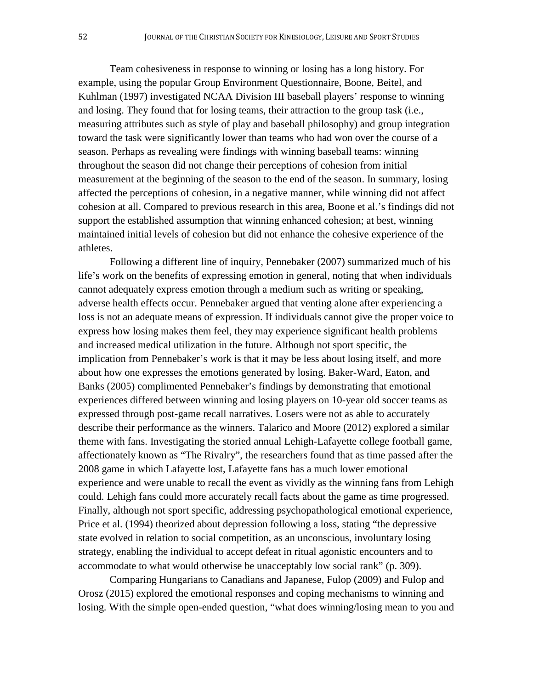Team cohesiveness in response to winning or losing has a long history. For example, using the popular Group Environment Questionnaire, Boone, Beitel, and Kuhlman (1997) investigated NCAA Division III baseball players' response to winning and losing. They found that for losing teams, their attraction to the group task (i.e., measuring attributes such as style of play and baseball philosophy) and group integration toward the task were significantly lower than teams who had won over the course of a season. Perhaps as revealing were findings with winning baseball teams: winning throughout the season did not change their perceptions of cohesion from initial measurement at the beginning of the season to the end of the season. In summary, losing affected the perceptions of cohesion, in a negative manner, while winning did not affect cohesion at all. Compared to previous research in this area, Boone et al.'s findings did not support the established assumption that winning enhanced cohesion; at best, winning maintained initial levels of cohesion but did not enhance the cohesive experience of the athletes.

Following a different line of inquiry, Pennebaker (2007) summarized much of his life's work on the benefits of expressing emotion in general, noting that when individuals cannot adequately express emotion through a medium such as writing or speaking, adverse health effects occur. Pennebaker argued that venting alone after experiencing a loss is not an adequate means of expression. If individuals cannot give the proper voice to express how losing makes them feel, they may experience significant health problems and increased medical utilization in the future. Although not sport specific, the implication from Pennebaker's work is that it may be less about losing itself, and more about how one expresses the emotions generated by losing. Baker-Ward, Eaton, and Banks (2005) complimented Pennebaker's findings by demonstrating that emotional experiences differed between winning and losing players on 10-year old soccer teams as expressed through post-game recall narratives. Losers were not as able to accurately describe their performance as the winners. Talarico and Moore (2012) explored a similar theme with fans. Investigating the storied annual Lehigh-Lafayette college football game, affectionately known as "The Rivalry", the researchers found that as time passed after the 2008 game in which Lafayette lost, Lafayette fans has a much lower emotional experience and were unable to recall the event as vividly as the winning fans from Lehigh could. Lehigh fans could more accurately recall facts about the game as time progressed. Finally, although not sport specific, addressing psychopathological emotional experience, Price et al. (1994) theorized about depression following a loss, stating "the depressive state evolved in relation to social competition, as an unconscious, involuntary losing strategy, enabling the individual to accept defeat in ritual agonistic encounters and to accommodate to what would otherwise be unacceptably low social rank" (p. 309).

Comparing Hungarians to Canadians and Japanese, Fulop (2009) and Fulop and Orosz (2015) explored the emotional responses and coping mechanisms to winning and losing. With the simple open-ended question, "what does winning/losing mean to you and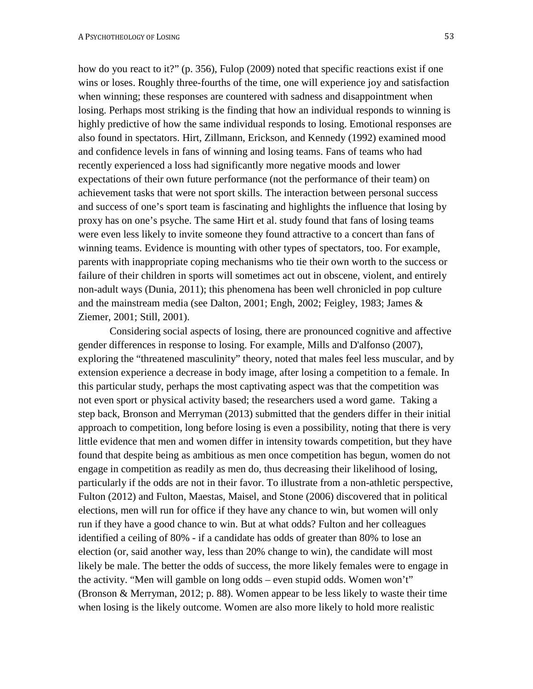how do you react to it?" (p. 356), Fulop (2009) noted that specific reactions exist if one wins or loses. Roughly three-fourths of the time, one will experience joy and satisfaction when winning; these responses are countered with sadness and disappointment when losing. Perhaps most striking is the finding that how an individual responds to winning is highly predictive of how the same individual responds to losing. Emotional responses are also found in spectators. Hirt, Zillmann, Erickson, and Kennedy (1992) examined mood and confidence levels in fans of winning and losing teams. Fans of teams who had recently experienced a loss had significantly more negative moods and lower expectations of their own future performance (not the performance of their team) on achievement tasks that were not sport skills. The interaction between personal success and success of one's sport team is fascinating and highlights the influence that losing by proxy has on one's psyche. The same Hirt et al. study found that fans of losing teams were even less likely to invite someone they found attractive to a concert than fans of winning teams. Evidence is mounting with other types of spectators, too. For example, parents with inappropriate coping mechanisms who tie their own worth to the success or failure of their children in sports will sometimes act out in obscene, violent, and entirely non-adult ways (Dunia, 2011); this phenomena has been well chronicled in pop culture and the mainstream media (see Dalton, 2001; Engh, 2002; Feigley, 1983; James & Ziemer, 2001; Still, 2001).

Considering social aspects of losing, there are pronounced cognitive and affective gender differences in response to losing. For example, Mills and D'alfonso (2007), exploring the "threatened masculinity" theory, noted that males feel less muscular, and by extension experience a decrease in body image, after losing a competition to a female. In this particular study, perhaps the most captivating aspect was that the competition was not even sport or physical activity based; the researchers used a word game. Taking a step back, Bronson and Merryman (2013) submitted that the genders differ in their initial approach to competition, long before losing is even a possibility, noting that there is very little evidence that men and women differ in intensity towards competition, but they have found that despite being as ambitious as men once competition has begun, women do not engage in competition as readily as men do, thus decreasing their likelihood of losing, particularly if the odds are not in their favor. To illustrate from a non-athletic perspective, Fulton (2012) and Fulton, Maestas, Maisel, and Stone (2006) discovered that in political elections, men will run for office if they have any chance to win, but women will only run if they have a good chance to win. But at what odds? Fulton and her colleagues identified a ceiling of 80% - if a candidate has odds of greater than 80% to lose an election (or, said another way, less than 20% change to win), the candidate will most likely be male. The better the odds of success, the more likely females were to engage in the activity. "Men will gamble on long odds – even stupid odds. Women won't" (Bronson & Merryman, 2012; p. 88). Women appear to be less likely to waste their time when losing is the likely outcome. Women are also more likely to hold more realistic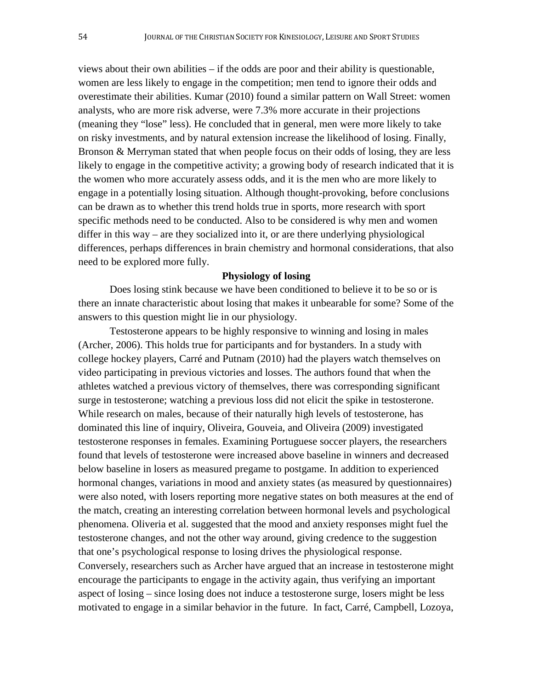views about their own abilities – if the odds are poor and their ability is questionable, women are less likely to engage in the competition; men tend to ignore their odds and overestimate their abilities. Kumar (2010) found a similar pattern on Wall Street: women analysts, who are more risk adverse, were 7.3% more accurate in their projections (meaning they "lose" less). He concluded that in general, men were more likely to take on risky investments, and by natural extension increase the likelihood of losing. Finally, Bronson & Merryman stated that when people focus on their odds of losing, they are less likely to engage in the competitive activity; a growing body of research indicated that it is the women who more accurately assess odds, and it is the men who are more likely to engage in a potentially losing situation. Although thought-provoking, before conclusions can be drawn as to whether this trend holds true in sports, more research with sport specific methods need to be conducted. Also to be considered is why men and women differ in this way – are they socialized into it, or are there underlying physiological differences, perhaps differences in brain chemistry and hormonal considerations, that also need to be explored more fully.

#### **Physiology of losing**

Does losing stink because we have been conditioned to believe it to be so or is there an innate characteristic about losing that makes it unbearable for some? Some of the answers to this question might lie in our physiology.

Testosterone appears to be highly responsive to winning and losing in males (Archer, 2006). This holds true for participants and for bystanders. In a study with college hockey players, Carré and Putnam (2010) had the players watch themselves on video participating in previous victories and losses. The authors found that when the athletes watched a previous victory of themselves, there was corresponding significant surge in testosterone; watching a previous loss did not elicit the spike in testosterone. While research on males, because of their naturally high levels of testosterone, has dominated this line of inquiry, Oliveira, Gouveia, and Oliveira (2009) investigated testosterone responses in females. Examining Portuguese soccer players, the researchers found that levels of testosterone were increased above baseline in winners and decreased below baseline in losers as measured pregame to postgame. In addition to experienced hormonal changes, variations in mood and anxiety states (as measured by questionnaires) were also noted, with losers reporting more negative states on both measures at the end of the match, creating an interesting correlation between hormonal levels and psychological phenomena. Oliveria et al. suggested that the mood and anxiety responses might fuel the testosterone changes, and not the other way around, giving credence to the suggestion that one's psychological response to losing drives the physiological response. Conversely, researchers such as Archer have argued that an increase in testosterone might encourage the participants to engage in the activity again, thus verifying an important aspect of losing – since losing does not induce a testosterone surge, losers might be less motivated to engage in a similar behavior in the future. In fact, Carré, Campbell, Lozoya,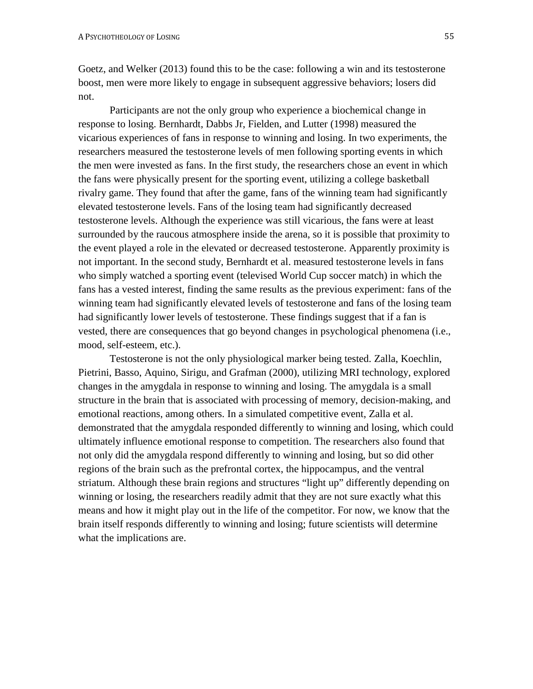Goetz, and Welker (2013) found this to be the case: following a win and its testosterone boost, men were more likely to engage in subsequent aggressive behaviors; losers did not.

Participants are not the only group who experience a biochemical change in response to losing. Bernhardt, Dabbs Jr, Fielden, and Lutter (1998) measured the vicarious experiences of fans in response to winning and losing. In two experiments, the researchers measured the testosterone levels of men following sporting events in which the men were invested as fans. In the first study, the researchers chose an event in which the fans were physically present for the sporting event, utilizing a college basketball rivalry game. They found that after the game, fans of the winning team had significantly elevated testosterone levels. Fans of the losing team had significantly decreased testosterone levels. Although the experience was still vicarious, the fans were at least surrounded by the raucous atmosphere inside the arena, so it is possible that proximity to the event played a role in the elevated or decreased testosterone. Apparently proximity is not important. In the second study, Bernhardt et al. measured testosterone levels in fans who simply watched a sporting event (televised World Cup soccer match) in which the fans has a vested interest, finding the same results as the previous experiment: fans of the winning team had significantly elevated levels of testosterone and fans of the losing team had significantly lower levels of testosterone. These findings suggest that if a fan is vested, there are consequences that go beyond changes in psychological phenomena (i.e., mood, self-esteem, etc.).

Testosterone is not the only physiological marker being tested. Zalla, Koechlin, Pietrini, Basso, Aquino, Sirigu, and Grafman (2000), utilizing MRI technology, explored changes in the amygdala in response to winning and losing. The amygdala is a small structure in the brain that is associated with processing of memory, decision-making, and emotional reactions, among others. In a simulated competitive event, Zalla et al. demonstrated that the amygdala responded differently to winning and losing, which could ultimately influence emotional response to competition. The researchers also found that not only did the amygdala respond differently to winning and losing, but so did other regions of the brain such as the prefrontal cortex, the hippocampus, and the ventral striatum. Although these brain regions and structures "light up" differently depending on winning or losing, the researchers readily admit that they are not sure exactly what this means and how it might play out in the life of the competitor. For now, we know that the brain itself responds differently to winning and losing; future scientists will determine what the implications are.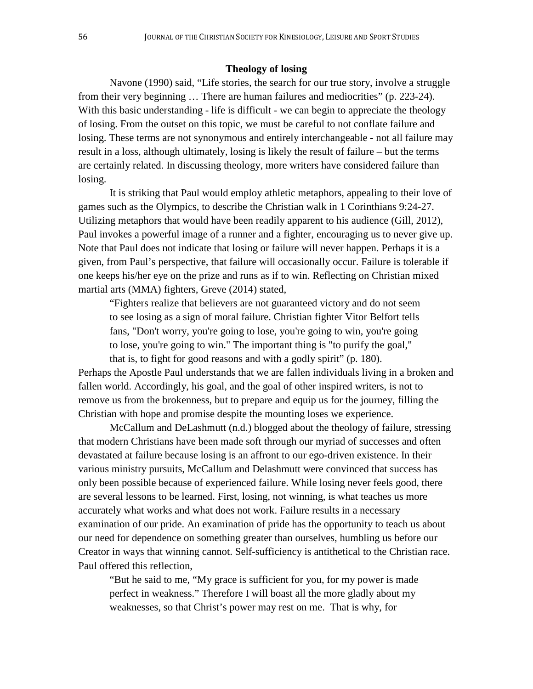## **Theology of losing**

Navone (1990) said, "Life stories, the search for our true story, involve a struggle from their very beginning … There are human failures and mediocrities" (p. 223-24). With this basic understanding - life is difficult - we can begin to appreciate the theology of losing. From the outset on this topic, we must be careful to not conflate failure and losing. These terms are not synonymous and entirely interchangeable - not all failure may result in a loss, although ultimately, losing is likely the result of failure – but the terms are certainly related. In discussing theology, more writers have considered failure than losing.

It is striking that Paul would employ athletic metaphors, appealing to their love of games such as the Olympics, to describe the Christian walk in 1 Corinthians 9:24-27. Utilizing metaphors that would have been readily apparent to his audience (Gill, 2012), Paul invokes a powerful image of a runner and a fighter, encouraging us to never give up. Note that Paul does not indicate that losing or failure will never happen. Perhaps it is a given, from Paul's perspective, that failure will occasionally occur. Failure is tolerable if one keeps his/her eye on the prize and runs as if to win. Reflecting on Christian mixed martial arts (MMA) fighters, Greve (2014) stated,

"Fighters realize that believers are not guaranteed victory and do not seem to see losing as a sign of moral failure. Christian fighter Vitor Belfort tells fans, "Don't worry, you're going to lose, you're going to win, you're going to lose, you're going to win." The important thing is "to purify the goal," that is, to fight for good reasons and with a godly spirit" (p. 180).

Perhaps the Apostle Paul understands that we are fallen individuals living in a broken and fallen world. Accordingly, his goal, and the goal of other inspired writers, is not to remove us from the brokenness, but to prepare and equip us for the journey, filling the Christian with hope and promise despite the mounting loses we experience.

McCallum and DeLashmutt (n.d.) blogged about the theology of failure, stressing that modern Christians have been made soft through our myriad of successes and often devastated at failure because losing is an affront to our ego-driven existence. In their various ministry pursuits, McCallum and Delashmutt were convinced that success has only been possible because of experienced failure. While losing never feels good, there are several lessons to be learned. First, losing, not winning, is what teaches us more accurately what works and what does not work. Failure results in a necessary examination of our pride. An examination of pride has the opportunity to teach us about our need for dependence on something greater than ourselves, humbling us before our Creator in ways that winning cannot. Self-sufficiency is antithetical to the Christian race. Paul offered this reflection,

"But he said to me, "My grace is sufficient for you, for my power is made perfect in weakness." Therefore I will boast all the more gladly about my weaknesses, so that Christ's power may rest on me. That is why, for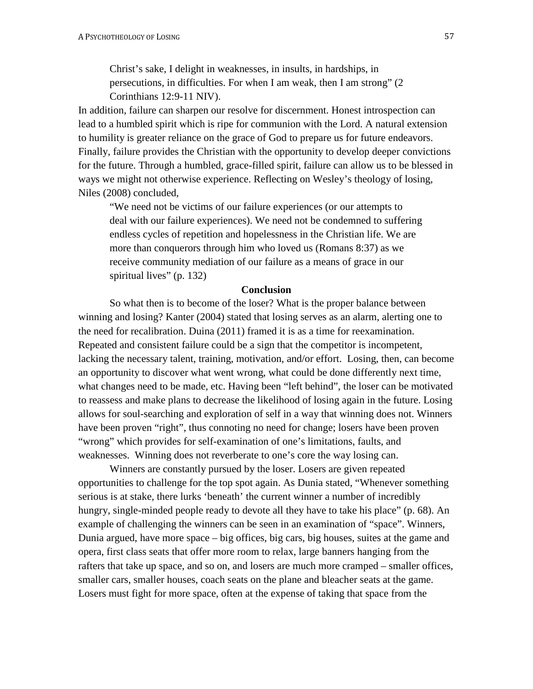Christ's sake, I delight in weaknesses, in insults, in hardships, in persecutions, in difficulties. For when I am weak, then I am strong" (2 Corinthians 12:9-11 NIV).

In addition, failure can sharpen our resolve for discernment. Honest introspection can lead to a humbled spirit which is ripe for communion with the Lord. A natural extension to humility is greater reliance on the grace of God to prepare us for future endeavors. Finally, failure provides the Christian with the opportunity to develop deeper convictions for the future. Through a humbled, grace-filled spirit, failure can allow us to be blessed in ways we might not otherwise experience. Reflecting on Wesley's theology of losing, Niles (2008) concluded,

"We need not be victims of our failure experiences (or our attempts to deal with our failure experiences). We need not be condemned to suffering endless cycles of repetition and hopelessness in the Christian life. We are more than conquerors through him who loved us (Romans 8:37) as we receive community mediation of our failure as a means of grace in our spiritual lives" (p. 132)

### **Conclusion**

So what then is to become of the loser? What is the proper balance between winning and losing? Kanter (2004) stated that losing serves as an alarm, alerting one to the need for recalibration. Duina (2011) framed it is as a time for reexamination. Repeated and consistent failure could be a sign that the competitor is incompetent, lacking the necessary talent, training, motivation, and/or effort. Losing, then, can become an opportunity to discover what went wrong, what could be done differently next time, what changes need to be made, etc. Having been "left behind", the loser can be motivated to reassess and make plans to decrease the likelihood of losing again in the future. Losing allows for soul-searching and exploration of self in a way that winning does not. Winners have been proven "right", thus connoting no need for change; losers have been proven "wrong" which provides for self-examination of one's limitations, faults, and weaknesses. Winning does not reverberate to one's core the way losing can.

Winners are constantly pursued by the loser. Losers are given repeated opportunities to challenge for the top spot again. As Dunia stated, "Whenever something serious is at stake, there lurks 'beneath' the current winner a number of incredibly hungry, single-minded people ready to devote all they have to take his place" (p. 68). An example of challenging the winners can be seen in an examination of "space". Winners, Dunia argued, have more space – big offices, big cars, big houses, suites at the game and opera, first class seats that offer more room to relax, large banners hanging from the rafters that take up space, and so on, and losers are much more cramped – smaller offices, smaller cars, smaller houses, coach seats on the plane and bleacher seats at the game. Losers must fight for more space, often at the expense of taking that space from the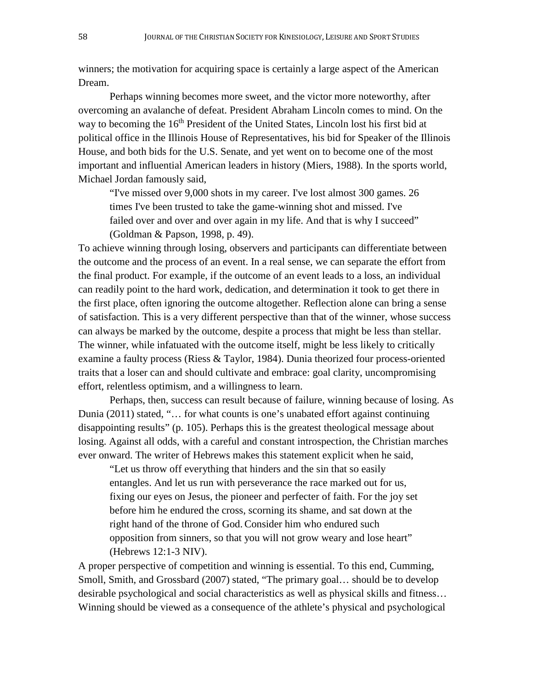winners; the motivation for acquiring space is certainly a large aspect of the American Dream.

Perhaps winning becomes more sweet, and the victor more noteworthy, after overcoming an avalanche of defeat. President Abraham Lincoln comes to mind. On the way to becoming the 16<sup>th</sup> President of the United States, Lincoln lost his first bid at political office in the Illinois House of Representatives, his bid for Speaker of the Illinois House, and both bids for the U.S. Senate, and yet went on to become one of the most important and influential American leaders in history (Miers, 1988). In the sports world, Michael Jordan famously said,

"I've missed over 9,000 shots in my career. I've lost almost 300 games. 26 times I've been trusted to take the game-winning shot and missed. I've failed over and over and over again in my life. And that is why I succeed" (Goldman & Papson, 1998, p. 49).

To achieve winning through losing, observers and participants can differentiate between the outcome and the process of an event. In a real sense, we can separate the effort from the final product. For example, if the outcome of an event leads to a loss, an individual can readily point to the hard work, dedication, and determination it took to get there in the first place, often ignoring the outcome altogether. Reflection alone can bring a sense of satisfaction. This is a very different perspective than that of the winner, whose success can always be marked by the outcome, despite a process that might be less than stellar. The winner, while infatuated with the outcome itself, might be less likely to critically examine a faulty process (Riess & Taylor, 1984). Dunia theorized four process-oriented traits that a loser can and should cultivate and embrace: goal clarity, uncompromising effort, relentless optimism, and a willingness to learn.

Perhaps, then, success can result because of failure, winning because of losing. As Dunia (2011) stated, "… for what counts is one's unabated effort against continuing disappointing results" (p. 105). Perhaps this is the greatest theological message about losing. Against all odds, with a careful and constant introspection, the Christian marches ever onward. The writer of Hebrews makes this statement explicit when he said,

"Let us throw off everything that hinders and the sin that so easily entangles. And let us run with perseverance the race marked out for us, fixing our eyes on Jesus, the pioneer and perfecter of faith. For the joy set before him he endured the cross, scorning its shame, and sat down at the right hand of the throne of God. Consider him who endured such opposition from sinners, so that you will not grow weary and lose heart" (Hebrews 12:1-3 NIV).

A proper perspective of competition and winning is essential. To this end, Cumming, Smoll, Smith, and Grossbard (2007) stated, "The primary goal... should be to develop desirable psychological and social characteristics as well as physical skills and fitness… Winning should be viewed as a consequence of the athlete's physical and psychological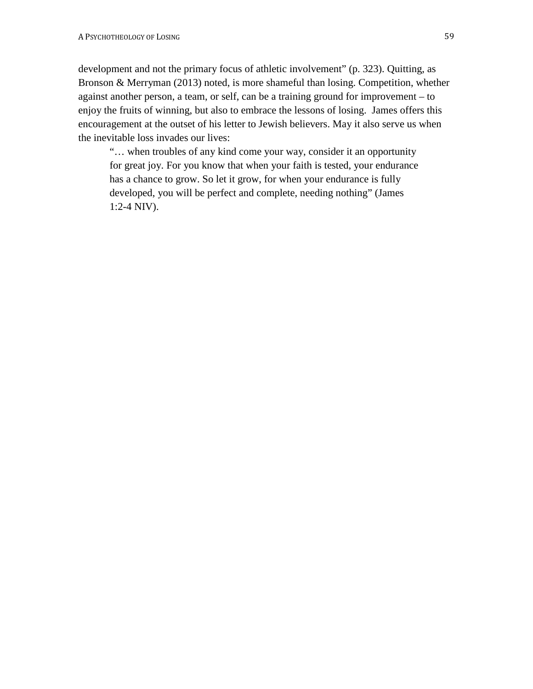development and not the primary focus of athletic involvement" (p. 323). Quitting, as Bronson & Merryman (2013) noted, is more shameful than losing. Competition, whether against another person, a team, or self, can be a training ground for improvement – to enjoy the fruits of winning, but also to embrace the lessons of losing. James offers this encouragement at the outset of his letter to Jewish believers. May it also serve us when the inevitable loss invades our lives:

"… when troubles of any kind come your way, consider it an opportunity for great joy. For you know that when your faith is tested, your endurance has a chance to grow. So let it grow, for when your endurance is fully developed, you will be perfect and complete, needing nothing" (James 1:2-4 NIV).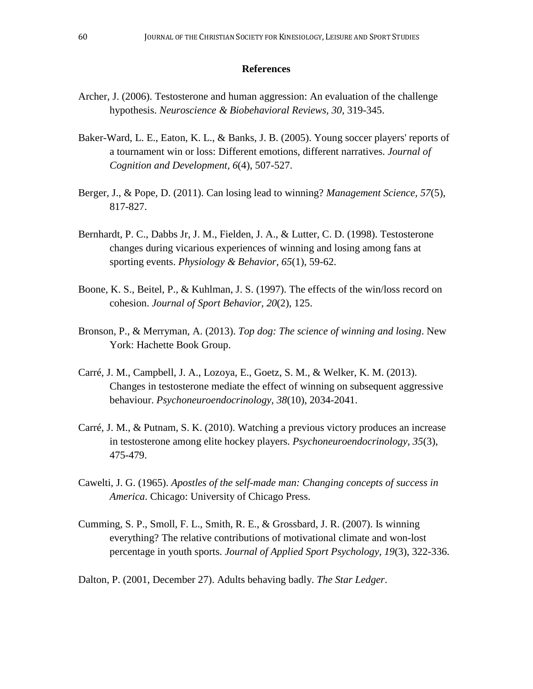## **References**

- Archer, J. (2006). Testosterone and human aggression: An evaluation of the challenge hypothesis. *Neuroscience & Biobehavioral Reviews, 30*, 319-345.
- Baker-Ward, L. E., Eaton, K. L., & Banks, J. B. (2005). Young soccer players' reports of a tournament win or loss: Different emotions, different narratives. *Journal of Cognition and Development, 6*(4), 507-527.
- Berger, J., & Pope, D. (2011). Can losing lead to winning? *Management Science, 57*(5), 817-827.
- Bernhardt, P. C., Dabbs Jr, J. M., Fielden, J. A., & Lutter, C. D. (1998). Testosterone changes during vicarious experiences of winning and losing among fans at sporting events. *Physiology & Behavior, 65*(1), 59-62.
- Boone, K. S., Beitel, P., & Kuhlman, J. S. (1997). The effects of the win/loss record on cohesion. *Journal of Sport Behavior, 20*(2), 125.
- Bronson, P., & Merryman, A. (2013). *Top dog: The science of winning and losing*. New York: Hachette Book Group.
- Carré, J. M., Campbell, J. A., Lozoya, E., Goetz, S. M., & Welker, K. M. (2013). Changes in testosterone mediate the effect of winning on subsequent aggressive behaviour. *Psychoneuroendocrinology, 38*(10), 2034-2041.
- Carré, J. M., & Putnam, S. K. (2010). Watching a previous victory produces an increase in testosterone among elite hockey players. *Psychoneuroendocrinology, 35*(3), 475-479.
- Cawelti, J. G. (1965). *Apostles of the self-made man: Changing concepts of success in America*. Chicago: University of Chicago Press.
- Cumming, S. P., Smoll, F. L., Smith, R. E., & Grossbard, J. R. (2007). Is winning everything? The relative contributions of motivational climate and won-lost percentage in youth sports. *Journal of Applied Sport Psychology, 19*(3), 322-336.
- Dalton, P. (2001, December 27). Adults behaving badly. *The Star Ledger*.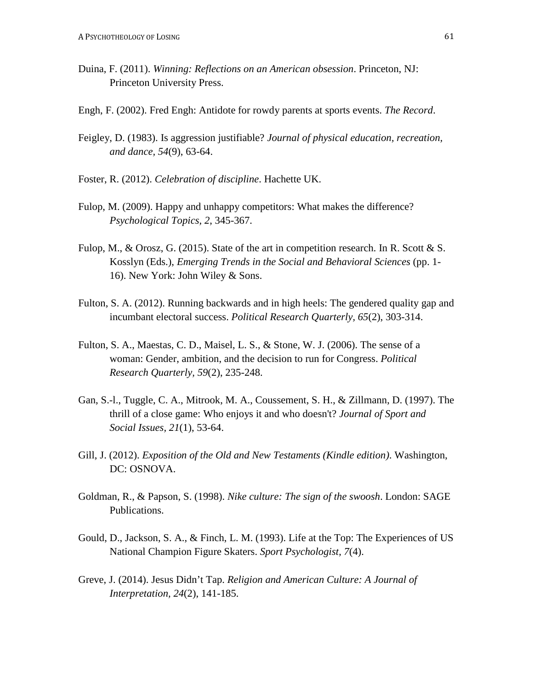- Duina, F. (2011). *Winning: Reflections on an American obsession*. Princeton, NJ: Princeton University Press.
- Engh, F. (2002). Fred Engh: Antidote for rowdy parents at sports events. *The Record*.
- Feigley, D. (1983). Is aggression justifiable? *Journal of physical education, recreation, and dance, 54*(9), 63-64.
- Foster, R. (2012). *Celebration of discipline*. Hachette UK.
- Fulop, M. (2009). Happy and unhappy competitors: What makes the difference? *Psychological Topics, 2*, 345-367.
- Fulop, M., & Orosz, G. (2015). State of the art in competition research. In R. Scott & S. Kosslyn (Eds.), *Emerging Trends in the Social and Behavioral Sciences* (pp. 1- 16). New York: John Wiley & Sons.
- Fulton, S. A. (2012). Running backwards and in high heels: The gendered quality gap and incumbant electoral success. *Political Research Quarterly, 65*(2), 303-314.
- Fulton, S. A., Maestas, C. D., Maisel, L. S., & Stone, W. J. (2006). The sense of a woman: Gender, ambition, and the decision to run for Congress. *Political Research Quarterly, 59*(2), 235-248.
- Gan, S.-l., Tuggle, C. A., Mitrook, M. A., Coussement, S. H., & Zillmann, D. (1997). The thrill of a close game: Who enjoys it and who doesn't? *Journal of Sport and Social Issues, 21*(1), 53-64.
- Gill, J. (2012). *Exposition of the Old and New Testaments (Kindle edition)*. Washington, DC: OSNOVA.
- Goldman, R., & Papson, S. (1998). *Nike culture: The sign of the swoosh*. London: SAGE Publications.
- Gould, D., Jackson, S. A., & Finch, L. M. (1993). Life at the Top: The Experiences of US National Champion Figure Skaters. *Sport Psychologist, 7*(4).
- Greve, J. (2014). Jesus Didn't Tap. *Religion and American Culture: A Journal of Interpretation, 24*(2), 141-185.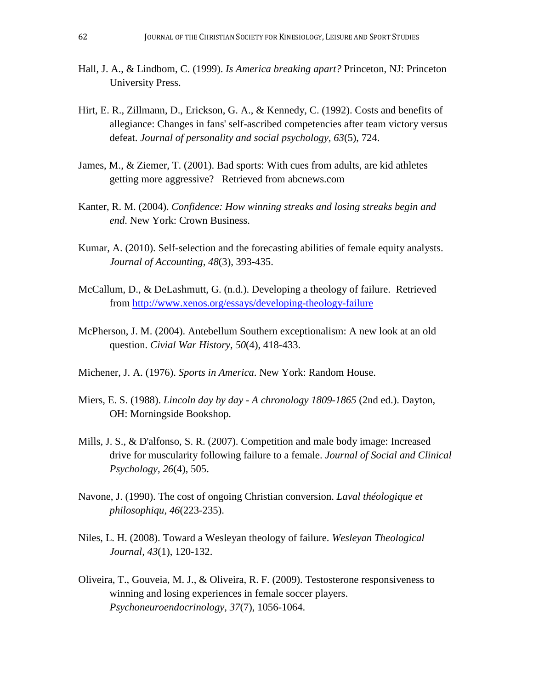- Hall, J. A., & Lindbom, C. (1999). *Is America breaking apart?* Princeton, NJ: Princeton University Press.
- Hirt, E. R., Zillmann, D., Erickson, G. A., & Kennedy, C. (1992). Costs and benefits of allegiance: Changes in fans' self-ascribed competencies after team victory versus defeat. *Journal of personality and social psychology, 63*(5), 724.
- James, M., & Ziemer, T. (2001). Bad sports: With cues from adults, are kid athletes getting more aggressive? Retrieved from abcnews.com
- Kanter, R. M. (2004). *Confidence: How winning streaks and losing streaks begin and end*. New York: Crown Business.
- Kumar, A. (2010). Self-selection and the forecasting abilities of female equity analysts. *Journal of Accounting, 48*(3), 393-435.
- McCallum, D., & DeLashmutt, G. (n.d.). Developing a theology of failure. Retrieved from <http://www.xenos.org/essays/developing-theology-failure>
- McPherson, J. M. (2004). Antebellum Southern exceptionalism: A new look at an old question. *Civial War History, 50*(4), 418-433.
- Michener, J. A. (1976). *Sports in America*. New York: Random House.
- Miers, E. S. (1988). *Lincoln day by day - A chronology 1809-1865* (2nd ed.). Dayton, OH: Morningside Bookshop.
- Mills, J. S., & D'alfonso, S. R. (2007). Competition and male body image: Increased drive for muscularity following failure to a female. *Journal of Social and Clinical Psychology, 26*(4), 505.
- Navone, J. (1990). The cost of ongoing Christian conversion. *Laval théologique et philosophiqu, 46*(223-235).
- Niles, L. H. (2008). Toward a Wesleyan theology of failure. *Wesleyan Theological Journal, 43*(1), 120-132.
- Oliveira, T., Gouveia, M. J., & Oliveira, R. F. (2009). Testosterone responsiveness to winning and losing experiences in female soccer players. *Psychoneuroendocrinology, 37*(7), 1056-1064.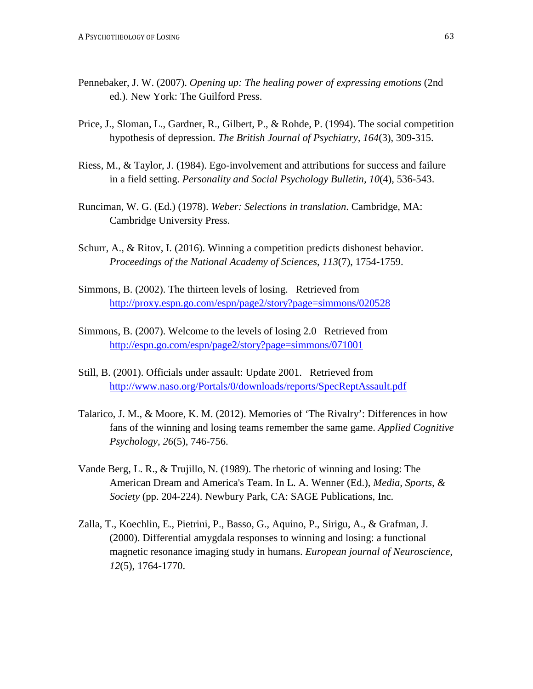- Pennebaker, J. W. (2007). *Opening up: The healing power of expressing emotions* (2nd ed.). New York: The Guilford Press.
- Price, J., Sloman, L., Gardner, R., Gilbert, P., & Rohde, P. (1994). The social competition hypothesis of depression. *The British Journal of Psychiatry, 164*(3), 309-315.
- Riess, M., & Taylor, J. (1984). Ego-involvement and attributions for success and failure in a field setting. *Personality and Social Psychology Bulletin, 10*(4), 536-543.
- Runciman, W. G. (Ed.) (1978). *Weber: Selections in translation*. Cambridge, MA: Cambridge University Press.
- Schurr, A., & Ritov, I. (2016). Winning a competition predicts dishonest behavior. *Proceedings of the National Academy of Sciences, 113*(7), 1754-1759.
- Simmons, B. (2002). The thirteen levels of losing. Retrieved from <http://proxy.espn.go.com/espn/page2/story?page=simmons/020528>
- Simmons, B. (2007). Welcome to the levels of losing 2.0 Retrieved from <http://espn.go.com/espn/page2/story?page=simmons/071001>
- Still, B. (2001). Officials under assault: Update 2001. Retrieved from <http://www.naso.org/Portals/0/downloads/reports/SpecReptAssault.pdf>
- Talarico, J. M., & Moore, K. M. (2012). Memories of 'The Rivalry': Differences in how fans of the winning and losing teams remember the same game. *Applied Cognitive Psychology, 26*(5), 746-756.
- Vande Berg, L. R., & Trujillo, N. (1989). The rhetoric of winning and losing: The American Dream and America's Team. In L. A. Wenner (Ed.), *Media, Sports, & Society* (pp. 204-224). Newbury Park, CA: SAGE Publications, Inc.
- Zalla, T., Koechlin, E., Pietrini, P., Basso, G., Aquino, P., Sirigu, A., & Grafman, J. (2000). Differential amygdala responses to winning and losing: a functional magnetic resonance imaging study in humans. *European journal of Neuroscience, 12*(5), 1764-1770.